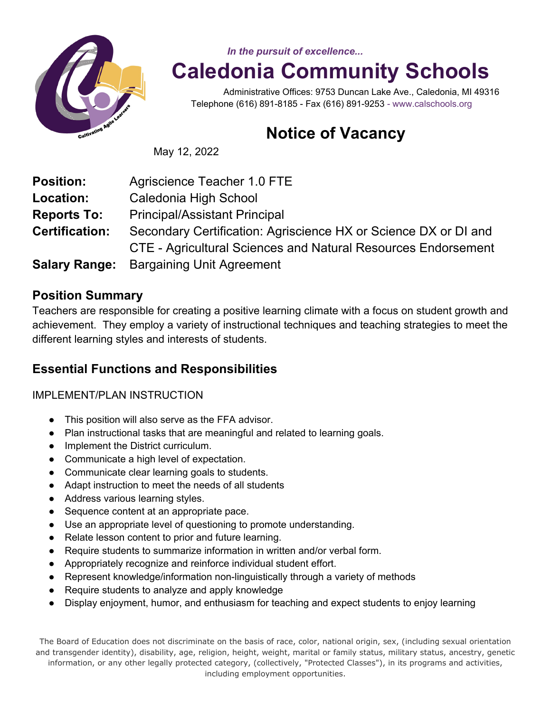

*In the pursuit of excellence...*

# **Caledonia Community Schools**

 Administrative Offices: 9753 Duncan Lake Ave., Caledonia, MI 49316 Telephone (616) 891-8185 - Fax (616) 891-9253 - www.calschools.org

## **Notice of Vacancy**

May 12, 2022

| <b>Position:</b>      | Agriscience Teacher 1.0 FTE                                          |
|-----------------------|----------------------------------------------------------------------|
| <b>Location:</b>      | Caledonia High School                                                |
| <b>Reports To:</b>    | <b>Principal/Assistant Principal</b>                                 |
| <b>Certification:</b> | Secondary Certification: Agriscience HX or Science DX or DI and      |
|                       | <b>CTE - Agricultural Sciences and Natural Resources Endorsement</b> |
| <b>Salary Range:</b>  | <b>Bargaining Unit Agreement</b>                                     |

#### **Position Summary**

Teachers are responsible for creating a positive learning climate with a focus on student growth and achievement. They employ a variety of instructional techniques and teaching strategies to meet the different learning styles and interests of students.

### **Essential Functions and Responsibilities**

#### IMPLEMENT/PLAN INSTRUCTION

- This position will also serve as the FFA advisor.
- Plan instructional tasks that are meaningful and related to learning goals.
- Implement the District curriculum.
- Communicate a high level of expectation.
- Communicate clear learning goals to students.
- Adapt instruction to meet the needs of all students
- Address various learning styles.
- Sequence content at an appropriate pace.
- Use an appropriate level of questioning to promote understanding.
- Relate lesson content to prior and future learning.
- Require students to summarize information in written and/or verbal form.
- Appropriately recognize and reinforce individual student effort.
- Represent knowledge/information non-linguistically through a variety of methods
- Require students to analyze and apply knowledge
- Display enjoyment, humor, and enthusiasm for teaching and expect students to enjoy learning

The Board of Education does not discriminate on the basis of race, color, national origin, sex, (including sexual orientation and transgender identity), disability, age, religion, height, weight, marital or family status, military status, ancestry, genetic information, or any other legally protected category, (collectively, "Protected Classes"), in its programs and activities, including employment opportunities.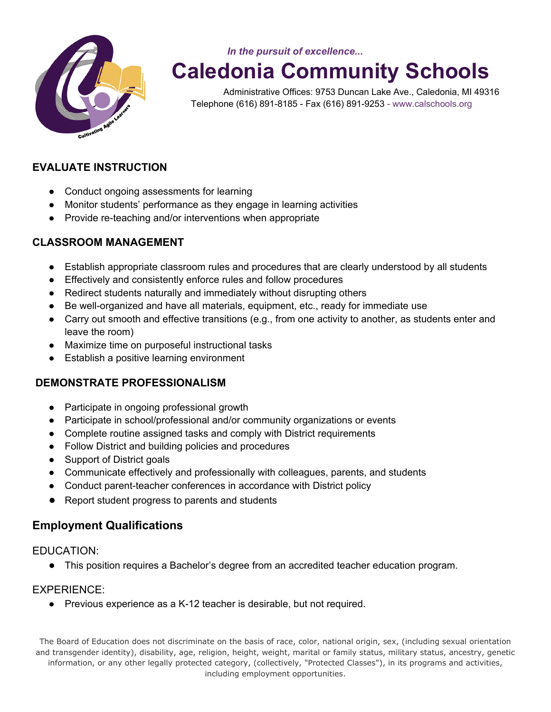

*In the pursuit of excellence...*

 **Caledonia Community Schools** 

 Administrative Offices: 9753 Duncan Lake Ave., Caledonia, MI 49316 Telephone (616) 891-8185 - Fax (616) 891-9253 - www.calschools.org

#### **EVALUATE INSTRUCTION**

- Conduct ongoing assessments for learning
- Monitor students' performance as they engage in learning activities
- Provide re-teaching and/or interventions when appropriate

#### **CLASSROOM MANAGEMENT**

- Establish appropriate classroom rules and procedures that are clearly understood by all students
- Effectively and consistently enforce rules and follow procedures
- Redirect students naturally and immediately without disrupting others
- Be well-organized and have all materials, equipment, etc., ready for immediate use
- Carry out smooth and effective transitions (e.g., from one activity to another, as students enter and leave the room)
- Maximize time on purposeful instructional tasks
- Establish a positive learning environment

#### **DEMONSTRATE PROFESSIONALISM**

- Participate in ongoing professional growth
- Participate in school/professional and/or community organizations or events
- Complete routine assigned tasks and comply with District requirements
- Follow District and building policies and procedures
- Support of District goals
- Communicate effectively and professionally with colleagues, parents, and students
- Conduct parent-teacher conferences in accordance with District policy
- Report student progress to parents and students

#### **Employment Qualifications**

#### EDUCATION:

● This position requires a Bachelor's degree from an accredited teacher education program.

#### EXPERIENCE:

● Previous experience as a K-12 teacher is desirable, but not required.

The Board of Education does not discriminate on the basis of race, color, national origin, sex, (including sexual orientation and transgender identity), disability, age, religion, height, weight, marital or family status, military status, ancestry, genetic information, or any other legally protected category, (collectively, "Protected Classes"), in its programs and activities, including employment opportunities.